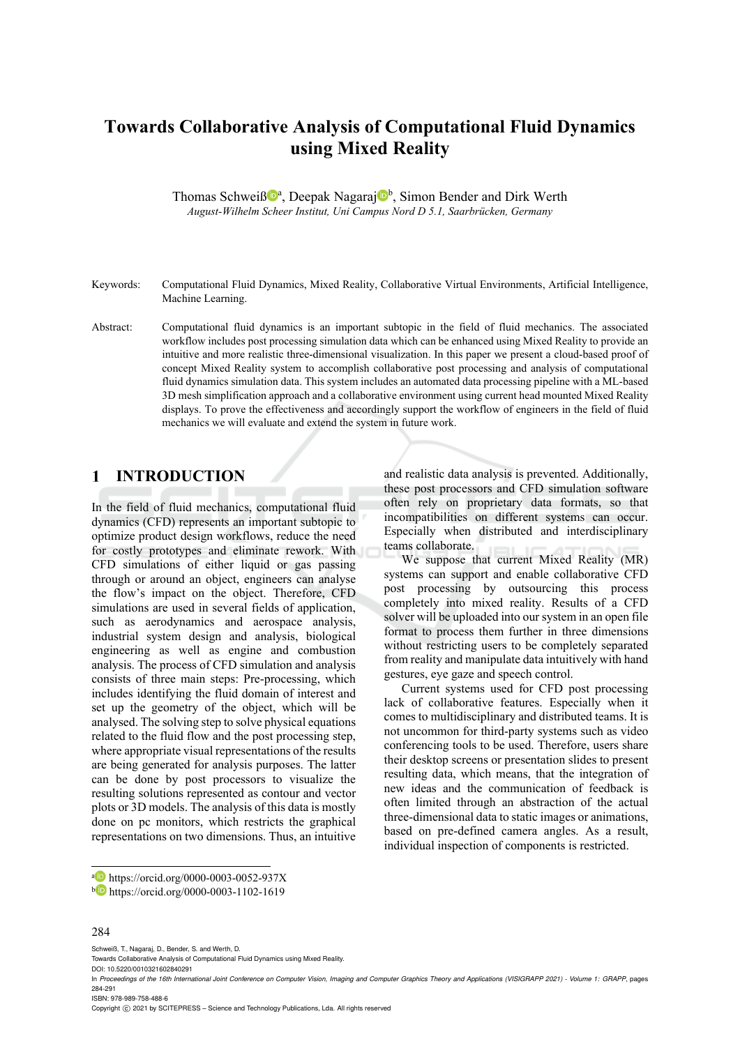# **Towards Collaborative Analysis of Computational Fluid Dynamics using Mixed Reality**

Thomas Schweiß<sup>®</sup>, Deepak Nagaraj<sup>®</sup>, Simon Bender and Dirk Werth *August-Wilhelm Scheer Institut, Uni Campus Nord D 5.1, Saarbrücken, Germany* 

- Keywords: Computational Fluid Dynamics, Mixed Reality, Collaborative Virtual Environments, Artificial Intelligence, Machine Learning.
- Abstract: Computational fluid dynamics is an important subtopic in the field of fluid mechanics. The associated workflow includes post processing simulation data which can be enhanced using Mixed Reality to provide an intuitive and more realistic three-dimensional visualization. In this paper we present a cloud-based proof of concept Mixed Reality system to accomplish collaborative post processing and analysis of computational fluid dynamics simulation data. This system includes an automated data processing pipeline with a ML-based 3D mesh simplification approach and a collaborative environment using current head mounted Mixed Reality displays. To prove the effectiveness and accordingly support the workflow of engineers in the field of fluid mechanics we will evaluate and extend the system in future work.

#### $\mathbf{1}$ **INTRODUCTION**

In the field of fluid mechanics, computational fluid dynamics (CFD) represents an important subtopic to optimize product design workflows, reduce the need for costly prototypes and eliminate rework. With CFD simulations of either liquid or gas passing through or around an object, engineers can analyse the flow's impact on the object. Therefore, CFD simulations are used in several fields of application, such as aerodynamics and aerospace analysis, industrial system design and analysis, biological engineering as well as engine and combustion analysis. The process of CFD simulation and analysis consists of three main steps: Pre-processing, which includes identifying the fluid domain of interest and set up the geometry of the object, which will be analysed. The solving step to solve physical equations related to the fluid flow and the post processing step, where appropriate visual representations of the results are being generated for analysis purposes. The latter can be done by post processors to visualize the resulting solutions represented as contour and vector plots or 3D models. The analysis of this data is mostly done on pc monitors, which restricts the graphical representations on two dimensions. Thus, an intuitive

and realistic data analysis is prevented. Additionally, these post processors and CFD simulation software often rely on proprietary data formats, so that incompatibilities on different systems can occur. Especially when distributed and interdisciplinary teams collaborate.

We suppose that current Mixed Reality (MR) systems can support and enable collaborative CFD post processing by outsourcing this process completely into mixed reality. Results of a CFD solver will be uploaded into our system in an open file format to process them further in three dimensions without restricting users to be completely separated from reality and manipulate data intuitively with hand gestures, eye gaze and speech control.

Current systems used for CFD post processing lack of collaborative features. Especially when it comes to multidisciplinary and distributed teams. It is not uncommon for third-party systems such as video conferencing tools to be used. Therefore, users share their desktop screens or presentation slides to present resulting data, which means, that the integration of new ideas and the communication of feedback is often limited through an abstraction of the actual three-dimensional data to static images or animations, based on pre-defined camera angles. As a result, individual inspection of components is restricted.

#### 284

Schweiß, T., Nagaraj, D., Bender, S. and Werth, D.

Towards Collaborative Analysis of Computational Fluid Dynamics using Mixed Reality.

DOI: 10.5220/0010321602840291

ISBN: 978-989-758-488-6

Copyright (C) 2021 by SCITEPRESS - Science and Technology Publications, Lda. All rights reserved

a https://orcid.org/0000-0003-0052-937X<br>b https://orcid.org/0000-0003-1102-1619

In *Proceedings of the 16th International Joint Conference on Computer Vision, Imaging and Computer Graphics Theory and Applications (VISIGRAPP 2021) - Volume 1: GRAPP*, pages 284-291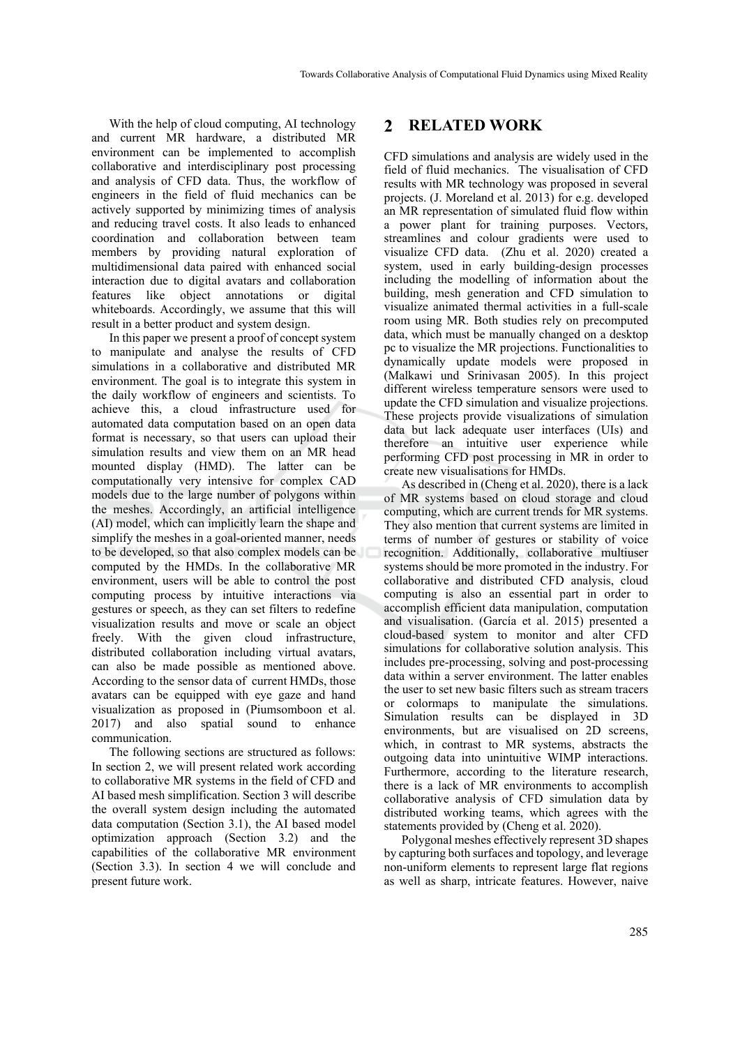With the help of cloud computing, AI technology and current MR hardware, a distributed MR environment can be implemented to accomplish collaborative and interdisciplinary post processing and analysis of CFD data. Thus, the workflow of engineers in the field of fluid mechanics can be actively supported by minimizing times of analysis and reducing travel costs. It also leads to enhanced coordination and collaboration between team members by providing natural exploration of multidimensional data paired with enhanced social interaction due to digital avatars and collaboration features like object annotations or digital whiteboards. Accordingly, we assume that this will result in a better product and system design.

In this paper we present a proof of concept system to manipulate and analyse the results of CFD simulations in a collaborative and distributed MR environment. The goal is to integrate this system in the daily workflow of engineers and scientists. To achieve this, a cloud infrastructure used for automated data computation based on an open data format is necessary, so that users can upload their simulation results and view them on an MR head mounted display (HMD). The latter can be computationally very intensive for complex CAD models due to the large number of polygons within the meshes. Accordingly, an artificial intelligence (AI) model, which can implicitly learn the shape and simplify the meshes in a goal-oriented manner, needs to be developed, so that also complex models can be computed by the HMDs. In the collaborative MR environment, users will be able to control the post computing process by intuitive interactions via gestures or speech, as they can set filters to redefine visualization results and move or scale an object freely. With the given cloud infrastructure, distributed collaboration including virtual avatars, can also be made possible as mentioned above. According to the sensor data of current HMDs, those avatars can be equipped with eye gaze and hand visualization as proposed in (Piumsomboon et al. 2017) and also spatial sound to enhance communication.

The following sections are structured as follows: In section 2, we will present related work according to collaborative MR systems in the field of CFD and AI based mesh simplification. Section 3 will describe the overall system design including the automated data computation (Section 3.1), the AI based model optimization approach (Section 3.2) and the capabilities of the collaborative MR environment (Section 3.3). In section 4 we will conclude and present future work.

#### $\mathbf{2}$ **RELATED WORK**

CFD simulations and analysis are widely used in the field of fluid mechanics. The visualisation of CFD results with MR technology was proposed in several projects. (J. Moreland et al. 2013) for e.g. developed an MR representation of simulated fluid flow within a power plant for training purposes. Vectors, streamlines and colour gradients were used to visualize CFD data. (Zhu et al. 2020) created a system, used in early building-design processes including the modelling of information about the building, mesh generation and CFD simulation to visualize animated thermal activities in a full-scale room using MR. Both studies rely on precomputed data, which must be manually changed on a desktop pc to visualize the MR projections. Functionalities to dynamically update models were proposed in (Malkawi und Srinivasan 2005). In this project different wireless temperature sensors were used to update the CFD simulation and visualize projections. These projects provide visualizations of simulation data but lack adequate user interfaces (UIs) and therefore an intuitive user experience while performing CFD post processing in MR in order to create new visualisations for HMDs.

As described in (Cheng et al. 2020), there is a lack of MR systems based on cloud storage and cloud computing, which are current trends for MR systems. They also mention that current systems are limited in terms of number of gestures or stability of voice recognition. Additionally, collaborative multiuser systems should be more promoted in the industry. For collaborative and distributed CFD analysis, cloud computing is also an essential part in order to accomplish efficient data manipulation, computation and visualisation. (García et al. 2015) presented a cloud-based system to monitor and alter CFD simulations for collaborative solution analysis. This includes pre-processing, solving and post-processing data within a server environment. The latter enables the user to set new basic filters such as stream tracers or colormaps to manipulate the simulations. Simulation results can be displayed in 3D environments, but are visualised on 2D screens, which, in contrast to MR systems, abstracts the outgoing data into unintuitive WIMP interactions. Furthermore, according to the literature research, there is a lack of MR environments to accomplish collaborative analysis of CFD simulation data by distributed working teams, which agrees with the statements provided by (Cheng et al. 2020).

Polygonal meshes effectively represent 3D shapes by capturing both surfaces and topology, and leverage non-uniform elements to represent large flat regions as well as sharp, intricate features. However, naive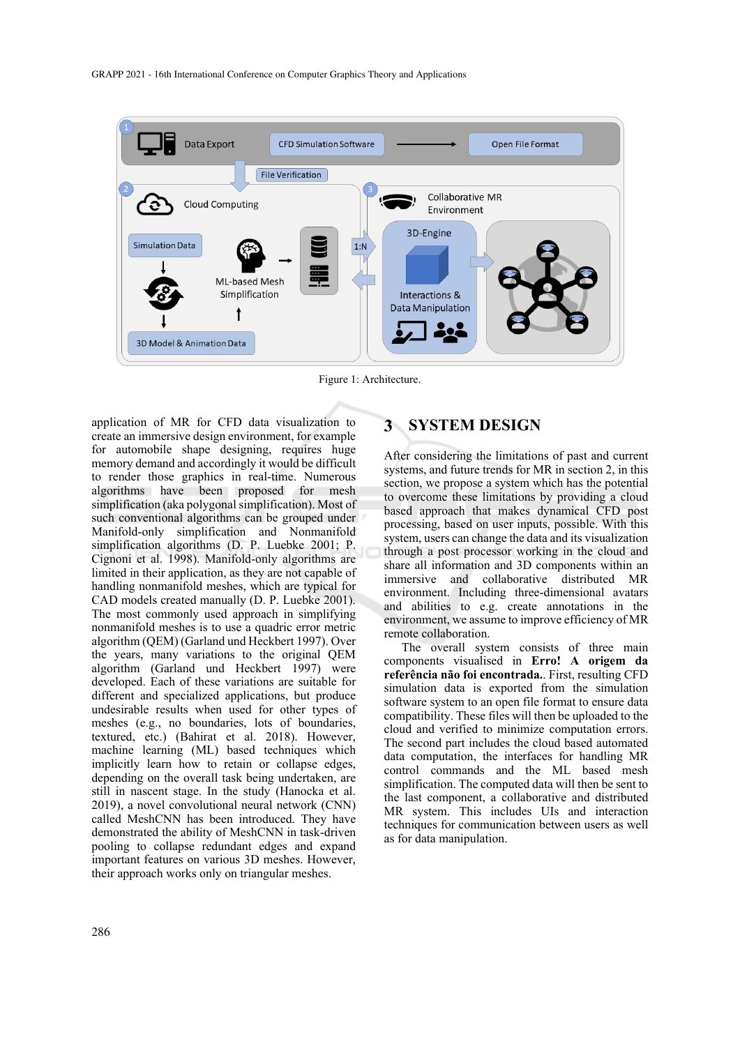

Figure 1: Architecture.

application of MR for CFD data visualization to create an immersive design environment, for example for automobile shape designing, requires huge memory demand and accordingly it would be difficult to render those graphics in real-time. Numerous algorithms have been proposed for mesh simplification (aka polygonal simplification). Most of such conventional algorithms can be grouped under Manifold-only simplification and Nonmanifold simplification algorithms (D. P. Luebke 2001; P. Cignoni et al. 1998). Manifold-only algorithms are limited in their application, as they are not capable of handling nonmanifold meshes, which are typical for CAD models created manually (D. P. Luebke 2001). The most commonly used approach in simplifying nonmanifold meshes is to use a quadric error metric algorithm (QEM) (Garland und Heckbert 1997). Over the years, many variations to the original QEM algorithm (Garland und Heckbert 1997) were developed. Each of these variations are suitable for different and specialized applications, but produce undesirable results when used for other types of meshes (e.g., no boundaries, lots of boundaries, textured, etc.) (Bahirat et al. 2018). However, machine learning (ML) based techniques which implicitly learn how to retain or collapse edges, depending on the overall task being undertaken, are still in nascent stage. In the study (Hanocka et al. 2019), a novel convolutional neural network (CNN) called MeshCNN has been introduced. They have demonstrated the ability of MeshCNN in task-driven pooling to collapse redundant edges and expand important features on various 3D meshes. However, their approach works only on triangular meshes.

#### **SYSTEM DESIGN**

After considering the limitations of past and current systems, and future trends for MR in section 2, in this section, we propose a system which has the potential to overcome these limitations by providing a cloud based approach that makes dynamical CFD post processing, based on user inputs, possible. With this system, users can change the data and its visualization through a post processor working in the cloud and share all information and 3D components within an immersive and collaborative distributed MR environment. Including three-dimensional avatars and abilities to e.g. create annotations in the environment, we assume to improve efficiency of MR remote collaboration.

The overall system consists of three main components visualised in **Erro! A origem da referência não foi encontrada.**. First, resulting CFD simulation data is exported from the simulation software system to an open file format to ensure data compatibility. These files will then be uploaded to the cloud and verified to minimize computation errors. The second part includes the cloud based automated data computation, the interfaces for handling MR control commands and the ML based mesh simplification. The computed data will then be sent to the last component, a collaborative and distributed MR system. This includes UIs and interaction techniques for communication between users as well as for data manipulation.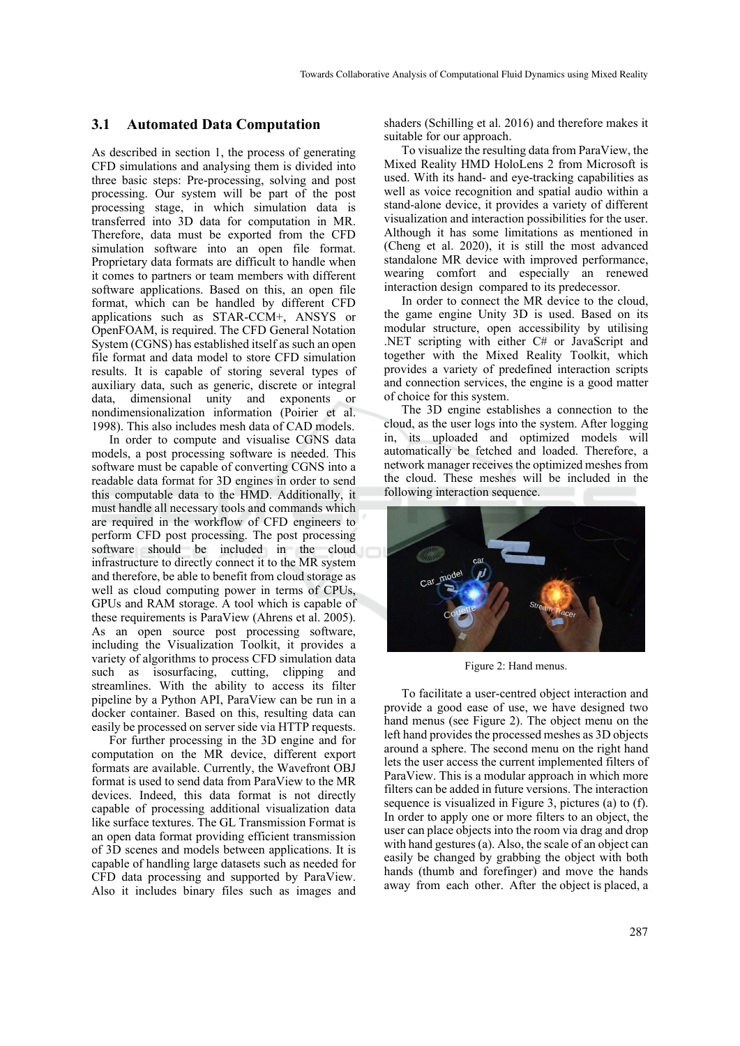#### **3.1 Automated Data Computation**

As described in section 1, the process of generating CFD simulations and analysing them is divided into three basic steps: Pre-processing, solving and post processing. Our system will be part of the post processing stage, in which simulation data is transferred into 3D data for computation in MR. Therefore, data must be exported from the CFD simulation software into an open file format. Proprietary data formats are difficult to handle when it comes to partners or team members with different software applications. Based on this, an open file format, which can be handled by different CFD applications such as STAR-CCM+, ANSYS or OpenFOAM, is required. The CFD General Notation System (CGNS) has established itself as such an open file format and data model to store CFD simulation results. It is capable of storing several types of auxiliary data, such as generic, discrete or integral data, dimensional unity and exponents or nondimensionalization information (Poirier et al. 1998). This also includes mesh data of CAD models.

In order to compute and visualise CGNS data models, a post processing software is needed. This software must be capable of converting CGNS into a readable data format for 3D engines in order to send this computable data to the HMD. Additionally, it must handle all necessary tools and commands which are required in the workflow of CFD engineers to perform CFD post processing. The post processing software should be included in the cloud infrastructure to directly connect it to the MR system and therefore, be able to benefit from cloud storage as well as cloud computing power in terms of CPUs, GPUs and RAM storage. A tool which is capable of these requirements is ParaView (Ahrens et al. 2005). As an open source post processing software, including the Visualization Toolkit, it provides a variety of algorithms to process CFD simulation data such as isosurfacing, cutting, clipping and streamlines. With the ability to access its filter pipeline by a Python API, ParaView can be run in a docker container. Based on this, resulting data can easily be processed on server side via HTTP requests.

For further processing in the 3D engine and for computation on the MR device, different export formats are available. Currently, the Wavefront OBJ format is used to send data from ParaView to the MR devices. Indeed, this data format is not directly capable of processing additional visualization data like surface textures. The GL Transmission Format is an open data format providing efficient transmission of 3D scenes and models between applications. It is capable of handling large datasets such as needed for CFD data processing and supported by ParaView. Also it includes binary files such as images and shaders (Schilling et al. 2016) and therefore makes it suitable for our approach.

To visualize the resulting data from ParaView, the Mixed Reality HMD HoloLens 2 from Microsoft is used. With its hand- and eye-tracking capabilities as well as voice recognition and spatial audio within a stand-alone device, it provides a variety of different visualization and interaction possibilities for the user. Although it has some limitations as mentioned in (Cheng et al. 2020), it is still the most advanced standalone MR device with improved performance, wearing comfort and especially an renewed interaction design compared to its predecessor.

In order to connect the MR device to the cloud, the game engine Unity 3D is used. Based on its modular structure, open accessibility by utilising .NET scripting with either C# or JavaScript and together with the Mixed Reality Toolkit, which provides a variety of predefined interaction scripts and connection services, the engine is a good matter of choice for this system.

The 3D engine establishes a connection to the cloud, as the user logs into the system. After logging in, its uploaded and optimized models will automatically be fetched and loaded. Therefore, a network manager receives the optimized meshes from the cloud. These meshes will be included in the following interaction sequence.



Figure 2: Hand menus.

To facilitate a user-centred object interaction and provide a good ease of use, we have designed two hand menus (see Figure 2). The object menu on the left hand provides the processed meshes as 3D objects around a sphere. The second menu on the right hand lets the user access the current implemented filters of ParaView. This is a modular approach in which more filters can be added in future versions. The interaction sequence is visualized in Figure 3, pictures (a) to (f). In order to apply one or more filters to an object, the user can place objects into the room via drag and drop with hand gestures (a). Also, the scale of an object can easily be changed by grabbing the object with both hands (thumb and forefinger) and move the hands away from each other. After the object is placed, a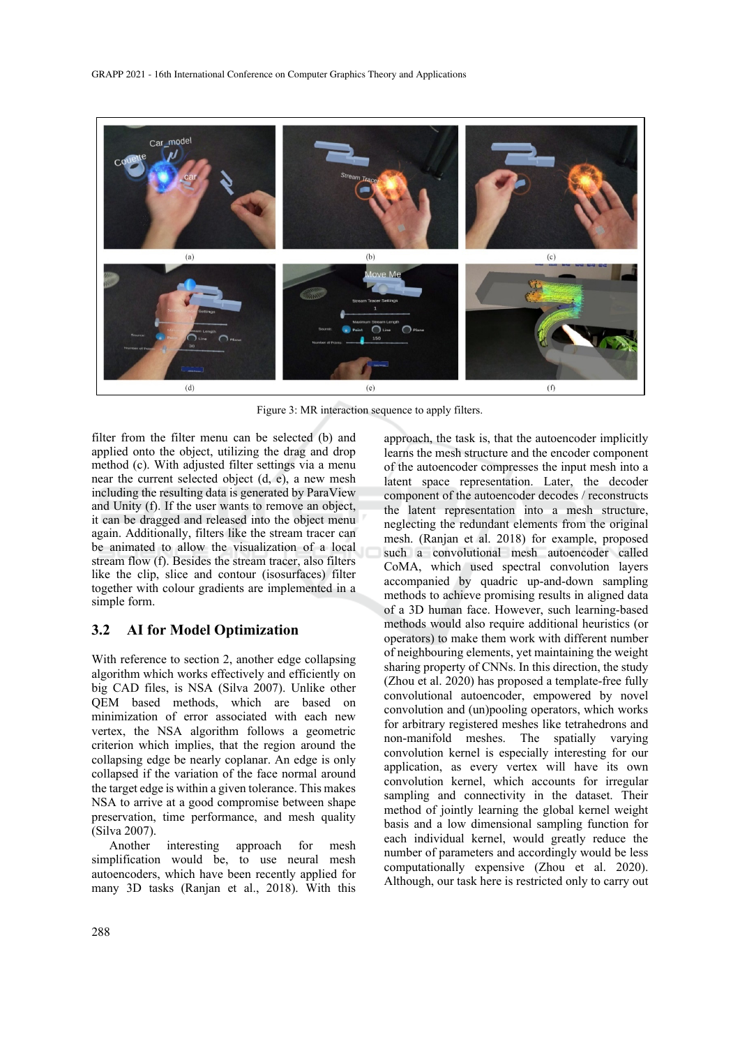

Figure 3: MR interaction sequence to apply filters.

filter from the filter menu can be selected (b) and applied onto the object, utilizing the drag and drop method (c). With adjusted filter settings via a menu near the current selected object (d, e), a new mesh including the resulting data is generated by ParaView and Unity (f). If the user wants to remove an object, it can be dragged and released into the object menu again. Additionally, filters like the stream tracer can be animated to allow the visualization of a local stream flow (f). Besides the stream tracer, also filters like the clip, slice and contour (isosurfaces) filter together with colour gradients are implemented in a simple form.

### **3.2 AI for Model Optimization**

With reference to section 2, another edge collapsing algorithm which works effectively and efficiently on big CAD files, is NSA (Silva 2007). Unlike other QEM based methods, which are based on minimization of error associated with each new vertex, the NSA algorithm follows a geometric criterion which implies, that the region around the collapsing edge be nearly coplanar. An edge is only collapsed if the variation of the face normal around the target edge is within a given tolerance. This makes NSA to arrive at a good compromise between shape preservation, time performance, and mesh quality (Silva 2007).

Another interesting approach for mesh simplification would be, to use neural mesh autoencoders, which have been recently applied for many 3D tasks (Ranjan et al., 2018). With this

approach, the task is, that the autoencoder implicitly learns the mesh structure and the encoder component of the autoencoder compresses the input mesh into a latent space representation. Later, the decoder component of the autoencoder decodes / reconstructs the latent representation into a mesh structure, neglecting the redundant elements from the original mesh. (Ranjan et al. 2018) for example, proposed such a convolutional mesh autoencoder called CoMA, which used spectral convolution layers accompanied by quadric up-and-down sampling methods to achieve promising results in aligned data of a 3D human face. However, such learning-based methods would also require additional heuristics (or operators) to make them work with different number of neighbouring elements, yet maintaining the weight sharing property of CNNs. In this direction, the study (Zhou et al. 2020) has proposed a template-free fully convolutional autoencoder, empowered by novel convolution and (un)pooling operators, which works for arbitrary registered meshes like tetrahedrons and non-manifold meshes. The spatially varying convolution kernel is especially interesting for our application, as every vertex will have its own convolution kernel, which accounts for irregular sampling and connectivity in the dataset. Their method of jointly learning the global kernel weight basis and a low dimensional sampling function for each individual kernel, would greatly reduce the number of parameters and accordingly would be less computationally expensive (Zhou et al. 2020). Although, our task here is restricted only to carry out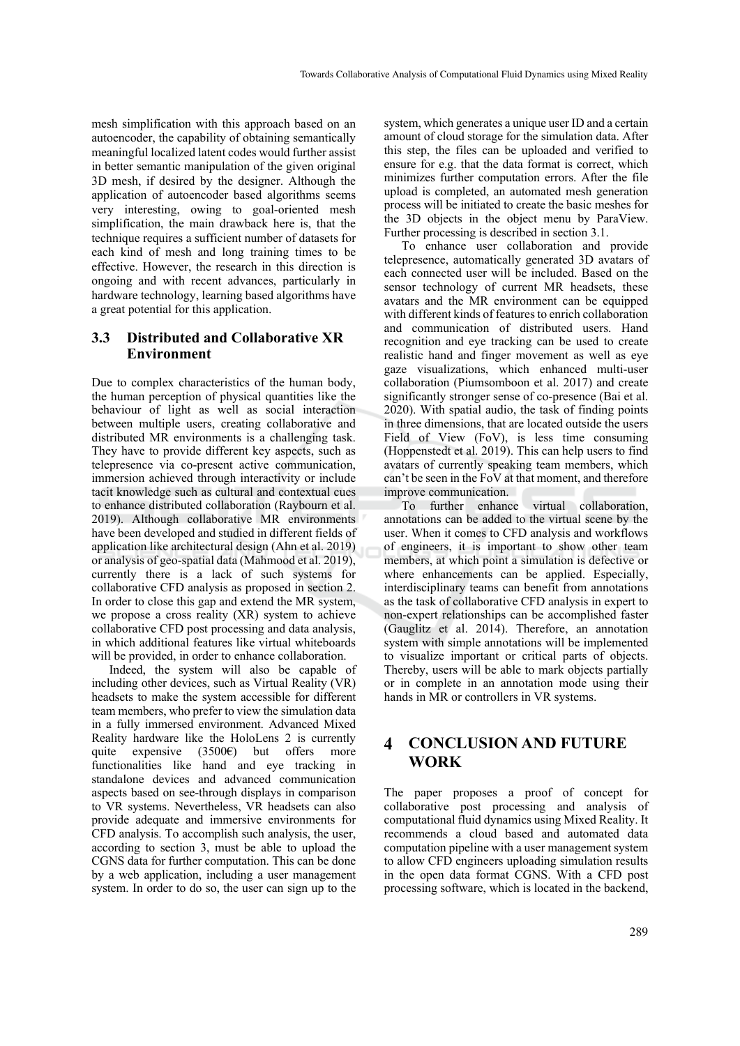mesh simplification with this approach based on an autoencoder, the capability of obtaining semantically meaningful localized latent codes would further assist in better semantic manipulation of the given original 3D mesh, if desired by the designer. Although the application of autoencoder based algorithms seems very interesting, owing to goal-oriented mesh simplification, the main drawback here is, that the technique requires a sufficient number of datasets for each kind of mesh and long training times to be effective. However, the research in this direction is ongoing and with recent advances, particularly in hardware technology, learning based algorithms have a great potential for this application.

### **3.3 Distributed and Collaborative XR Environment**

Due to complex characteristics of the human body, the human perception of physical quantities like the behaviour of light as well as social interaction between multiple users, creating collaborative and distributed MR environments is a challenging task. They have to provide different key aspects, such as telepresence via co-present active communication, immersion achieved through interactivity or include tacit knowledge such as cultural and contextual cues to enhance distributed collaboration (Raybourn et al. 2019). Although collaborative MR environments have been developed and studied in different fields of application like architectural design (Ahn et al. 2019) or analysis of geo-spatial data (Mahmood et al. 2019), currently there is a lack of such systems for collaborative CFD analysis as proposed in section 2. In order to close this gap and extend the MR system, we propose a cross reality (XR) system to achieve collaborative CFD post processing and data analysis, in which additional features like virtual whiteboards will be provided, in order to enhance collaboration.

Indeed, the system will also be capable of including other devices, such as Virtual Reality (VR) headsets to make the system accessible for different team members, who prefer to view the simulation data in a fully immersed environment. Advanced Mixed Reality hardware like the HoloLens 2 is currently quite expensive (3500€) but offers more functionalities like hand and eye tracking in standalone devices and advanced communication aspects based on see-through displays in comparison to VR systems. Nevertheless, VR headsets can also provide adequate and immersive environments for CFD analysis. To accomplish such analysis, the user, according to section 3, must be able to upload the CGNS data for further computation. This can be done by a web application, including a user management system. In order to do so, the user can sign up to the

system, which generates a unique user ID and a certain amount of cloud storage for the simulation data. After this step, the files can be uploaded and verified to ensure for e.g. that the data format is correct, which minimizes further computation errors. After the file upload is completed, an automated mesh generation process will be initiated to create the basic meshes for the 3D objects in the object menu by ParaView. Further processing is described in section 3.1.

To enhance user collaboration and provide telepresence, automatically generated 3D avatars of each connected user will be included. Based on the sensor technology of current MR headsets, these avatars and the MR environment can be equipped with different kinds of features to enrich collaboration and communication of distributed users. Hand recognition and eye tracking can be used to create realistic hand and finger movement as well as eye gaze visualizations, which enhanced multi-user collaboration (Piumsomboon et al. 2017) and create significantly stronger sense of co-presence (Bai et al. 2020). With spatial audio, the task of finding points in three dimensions, that are located outside the users Field of View (FoV), is less time consuming (Hoppenstedt et al. 2019). This can help users to find avatars of currently speaking team members, which can't be seen in the FoV at that moment, and therefore improve communication.

To further enhance virtual collaboration, annotations can be added to the virtual scene by the user. When it comes to CFD analysis and workflows of engineers, it is important to show other team members, at which point a simulation is defective or where enhancements can be applied. Especially, interdisciplinary teams can benefit from annotations as the task of collaborative CFD analysis in expert to non-expert relationships can be accomplished faster (Gauglitz et al. 2014). Therefore, an annotation system with simple annotations will be implemented to visualize important or critical parts of objects. Thereby, users will be able to mark objects partially or in complete in an annotation mode using their hands in MR or controllers in VR systems.

#### $\blacktriangle$ **CONCLUSION AND FUTURE WORK**

The paper proposes a proof of concept for collaborative post processing and analysis of computational fluid dynamics using Mixed Reality. It recommends a cloud based and automated data computation pipeline with a user management system to allow CFD engineers uploading simulation results in the open data format CGNS. With a CFD post processing software, which is located in the backend,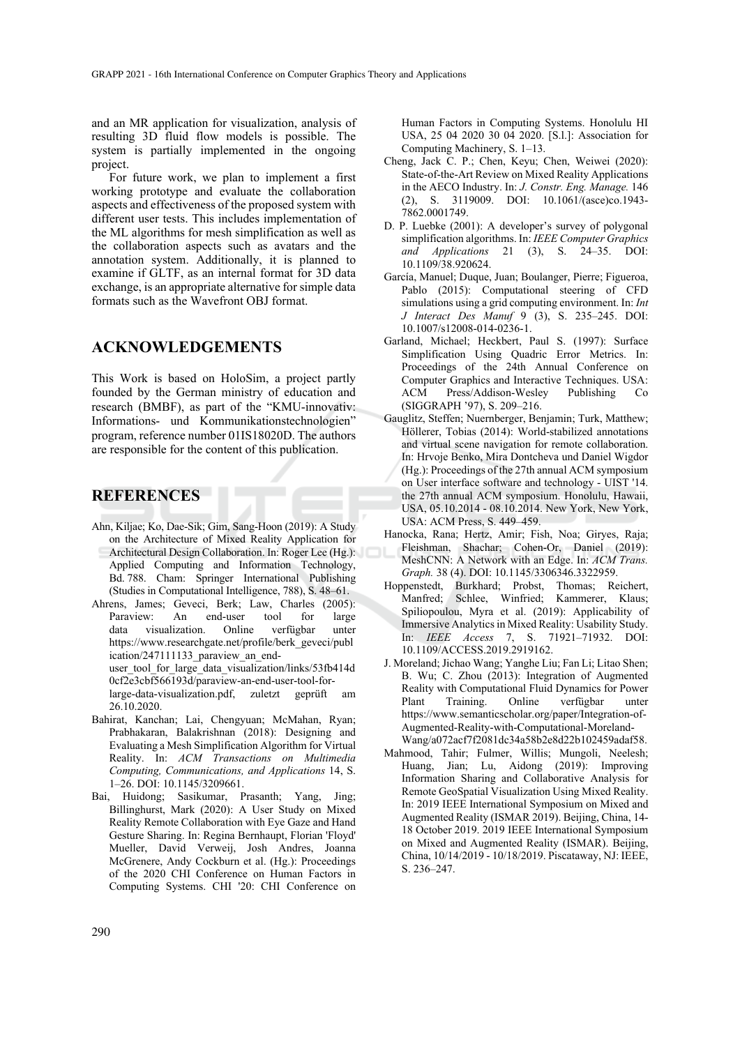and an MR application for visualization, analysis of resulting 3D fluid flow models is possible. The system is partially implemented in the ongoing project.

For future work, we plan to implement a first working prototype and evaluate the collaboration aspects and effectiveness of the proposed system with different user tests. This includes implementation of the ML algorithms for mesh simplification as well as the collaboration aspects such as avatars and the annotation system. Additionally, it is planned to examine if GLTF, as an internal format for 3D data exchange, is an appropriate alternative for simple data formats such as the Wavefront OBJ format.

## **ACKNOWLEDGEMENTS**

This Work is based on HoloSim, a project partly founded by the German ministry of education and research (BMBF), as part of the "KMU-innovativ: Informations- und Kommunikationstechnologien" program, reference number 01IS18020D. The authors are responsible for the content of this publication.

## **REFERENCES**

- Ahn, Kiljae; Ko, Dae-Sik; Gim, Sang-Hoon (2019): A Study on the Architecture of Mixed Reality Application for Architectural Design Collaboration. In: Roger Lee (Hg.): Applied Computing and Information Technology, Bd. 788. Cham: Springer International Publishing (Studies in Computational Intelligence, 788), S. 48–61.
- Ahrens, James; Geveci, Berk; Law, Charles (2005): Paraview: An end-user tool for large data visualization. Online verfügbar unter https://www.researchgate.net/profile/berk\_geveci/publ ication/247111133 paraview an enduser\_tool\_for\_large\_data\_visualization/links/53fb414d 0cf2e3cbf566193d/paraview-an-end-user-tool-forlarge-data-visualization.pdf, zuletzt geprüft am 26.10.2020.
- Bahirat, Kanchan; Lai, Chengyuan; McMahan, Ryan; Prabhakaran, Balakrishnan (2018): Designing and Evaluating a Mesh Simplification Algorithm for Virtual Reality. In: *ACM Transactions on Multimedia Computing, Communications, and Applications* 14, S. 1–26. DOI: 10.1145/3209661.
- Bai, Huidong; Sasikumar, Prasanth; Yang, Jing; Billinghurst, Mark (2020): A User Study on Mixed Reality Remote Collaboration with Eye Gaze and Hand Gesture Sharing. In: Regina Bernhaupt, Florian 'Floyd' Mueller, David Verweij, Josh Andres, Joanna McGrenere, Andy Cockburn et al. (Hg.): Proceedings of the 2020 CHI Conference on Human Factors in Computing Systems. CHI '20: CHI Conference on

Human Factors in Computing Systems. Honolulu HI USA, 25 04 2020 30 04 2020. [S.l.]: Association for Computing Machinery, S. 1–13.

- Cheng, Jack C. P.; Chen, Keyu; Chen, Weiwei (2020): State-of-the-Art Review on Mixed Reality Applications in the AECO Industry. In: *J. Constr. Eng. Manage.* 146 (2), S. 3119009. DOI: 10.1061/(asce)co.1943- 7862.0001749.
- D. P. Luebke (2001): A developer's survey of polygonal simplification algorithms. In: *IEEE Computer Graphics and Applications* 21 (3), S. 24–35. DOI: 10.1109/38.920624.
- García, Manuel; Duque, Juan; Boulanger, Pierre; Figueroa, Pablo (2015): Computational steering of CFD simulations using a grid computing environment. In: *Int J Interact Des Manuf* 9 (3), S. 235–245. DOI: 10.1007/s12008-014-0236-1.
- Garland, Michael; Heckbert, Paul S. (1997): Surface Simplification Using Quadric Error Metrics. In: Proceedings of the 24th Annual Conference on Computer Graphics and Interactive Techniques. USA: ACM Press/Addison-Wesley Publishing Co (SIGGRAPH '97), S. 209–216.
- Gauglitz, Steffen; Nuernberger, Benjamin; Turk, Matthew; Höllerer, Tobias (2014): World-stabilized annotations and virtual scene navigation for remote collaboration. In: Hrvoje Benko, Mira Dontcheva und Daniel Wigdor (Hg.): Proceedings of the 27th annual ACM symposium on User interface software and technology - UIST '14. the 27th annual ACM symposium. Honolulu, Hawaii, USA, 05.10.2014 - 08.10.2014. New York, New York, USA: ACM Press, S. 449–459.
- Hanocka, Rana; Hertz, Amir; Fish, Noa; Giryes, Raja; Fleishman, Shachar; Cohen-Or, Daniel (2019): MeshCNN: A Network with an Edge. In: *ACM Trans. Graph.* 38 (4). DOI: 10.1145/3306346.3322959.
- Hoppenstedt, Burkhard; Probst, Thomas; Reichert, Manfred; Schlee, Winfried; Kammerer, Klaus; Spiliopoulou, Myra et al. (2019): Applicability of Immersive Analytics in Mixed Reality: Usability Study. In: *IEEE Access* 7, S. 71921–71932. DOI: 10.1109/ACCESS.2019.2919162.
- J. Moreland; Jichao Wang; Yanghe Liu; Fan Li; Litao Shen; B. Wu; C. Zhou (2013): Integration of Augmented Reality with Computational Fluid Dynamics for Power Plant Training. Online verfügbar unter https://www.semanticscholar.org/paper/Integration-of-Augmented-Reality-with-Computational-Moreland-Wang/a072acf7f2081dc34a58b2e8d22b102459adaf58.
- Mahmood, Tahir; Fulmer, Willis; Mungoli, Neelesh; Huang, Jian; Lu, Aidong (2019): Improving Information Sharing and Collaborative Analysis for Remote GeoSpatial Visualization Using Mixed Reality. In: 2019 IEEE International Symposium on Mixed and Augmented Reality (ISMAR 2019). Beijing, China, 14- 18 October 2019. 2019 IEEE International Symposium on Mixed and Augmented Reality (ISMAR). Beijing, China, 10/14/2019 - 10/18/2019. Piscataway, NJ: IEEE, S. 236–247.